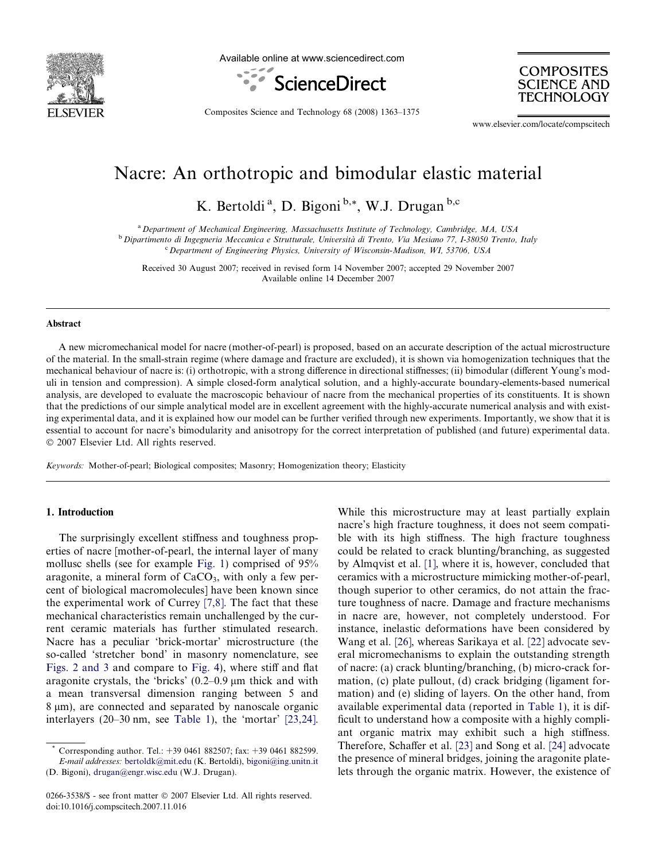

Available online at www.sciencedirect.com



**COMPOSITES** SCIENCE AND **TECHNOLOGY** 

Composites Science and Technology 68 (2008) 1363–1375

www.elsevier.com/locate/compscitech

# Nacre: An orthotropic and bimodular elastic material

K. Bertoldi<sup>a</sup>, D. Bigoni<sup>b,\*</sup>, W.J. Drugan<sup>b,c</sup>

<sup>a</sup> Department of Mechanical Engineering, Massachusetts Institute of Technology, Cambridge, MA, USA

<sup>b</sup> Dipartimento di Ingegneria Meccanica e Strutturale, Università di Trento, Via Mesiano 77, I-38050 Trento, Italy

<sup>c</sup> Department of Engineering Physics, University of Wisconsin-Madison, WI, 53706, USA

Received 30 August 2007; received in revised form 14 November 2007; accepted 29 November 2007 Available online 14 December 2007

#### Abstract

A new micromechanical model for nacre (mother-of-pearl) is proposed, based on an accurate description of the actual microstructure of the material. In the small-strain regime (where damage and fracture are excluded), it is shown via homogenization techniques that the mechanical behaviour of nacre is: (i) orthotropic, with a strong difference in directional stiffnesses; (ii) bimodular (different Young's moduli in tension and compression). A simple closed-form analytical solution, and a highly-accurate boundary-elements-based numerical analysis, are developed to evaluate the macroscopic behaviour of nacre from the mechanical properties of its constituents. It is shown that the predictions of our simple analytical model are in excellent agreement with the highly-accurate numerical analysis and with existing experimental data, and it is explained how our model can be further verified through new experiments. Importantly, we show that it is essential to account for nacre's bimodularity and anisotropy for the correct interpretation of published (and future) experimental data. © 2007 Elsevier Ltd. All rights reserved.

Keywords: Mother-of-pearl; Biological composites; Masonry; Homogenization theory; Elasticity

# 1. Introduction

The surprisingly excellent stiffness and toughness properties of nacre [mother-of-pearl, the internal layer of many mollusc shells (see for example [Fig. 1\)](#page-1-0) comprised of 95% aragonite, a mineral form of  $CaCO<sub>3</sub>$ , with only a few percent of biological macromolecules] have been known since the experimental work of Currey [\[7,8\]](#page-11-0). The fact that these mechanical characteristics remain unchallenged by the current ceramic materials has further stimulated research. Nacre has a peculiar 'brick-mortar' microstructure (the so-called 'stretcher bond' in masonry nomenclature, see [Figs. 2 and 3](#page-1-0) and compare to [Fig. 4](#page-2-0)), where stiff and flat aragonite crystals, the 'bricks'  $(0.2-0.9 \,\mu m)$  thick and with a mean transversal dimension ranging between 5 and 8  $\mu$ m), are connected and separated by nanoscale organic interlayers (20–30 nm, see [Table 1\)](#page-2-0), the 'mortar' [\[23,24\].](#page-12-0) While this microstructure may at least partially explain nacre's high fracture toughness, it does not seem compatible with its high stiffness. The high fracture toughness could be related to crack blunting/branching, as suggested by Almqvist et al. [\[1\],](#page-11-0) where it is, however, concluded that ceramics with a microstructure mimicking mother-of-pearl, though superior to other ceramics, do not attain the fracture toughness of nacre. Damage and fracture mechanisms in nacre are, however, not completely understood. For instance, inelastic deformations have been considered by Wang et al. [\[26\]](#page-12-0), whereas Sarikaya et al. [\[22\]](#page-12-0) advocate several micromechanisms to explain the outstanding strength of nacre: (a) crack blunting/branching, (b) micro-crack formation, (c) plate pullout, (d) crack bridging (ligament formation) and (e) sliding of layers. On the other hand, from available experimental data (reported in [Table 1](#page-2-0)), it is difficult to understand how a composite with a highly compliant organic matrix may exhibit such a high stiffness. Therefore, Schaffer et al. [\[23\]](#page-12-0) and Song et al. [\[24\]](#page-12-0) advocate the presence of mineral bridges, joining the aragonite platelets through the organic matrix. However, the existence of

Corresponding author. Tel.: +39 0461 882507; fax: +39 0461 882599. E-mail addresses: [bertoldk@mit.edu](mailto:bertoldk@mit.edu) (K. Bertoldi), [bigoni@ing.unitn.it](mailto:bigoni@ing.unitn.it) (D. Bigoni), [drugan@engr.wisc.edu](mailto:drugan@engr.wisc.edu) (W.J. Drugan).

<sup>0266-3538/\$ -</sup> see front matter © 2007 Elsevier Ltd. All rights reserved. doi:10.1016/j.compscitech.2007.11.016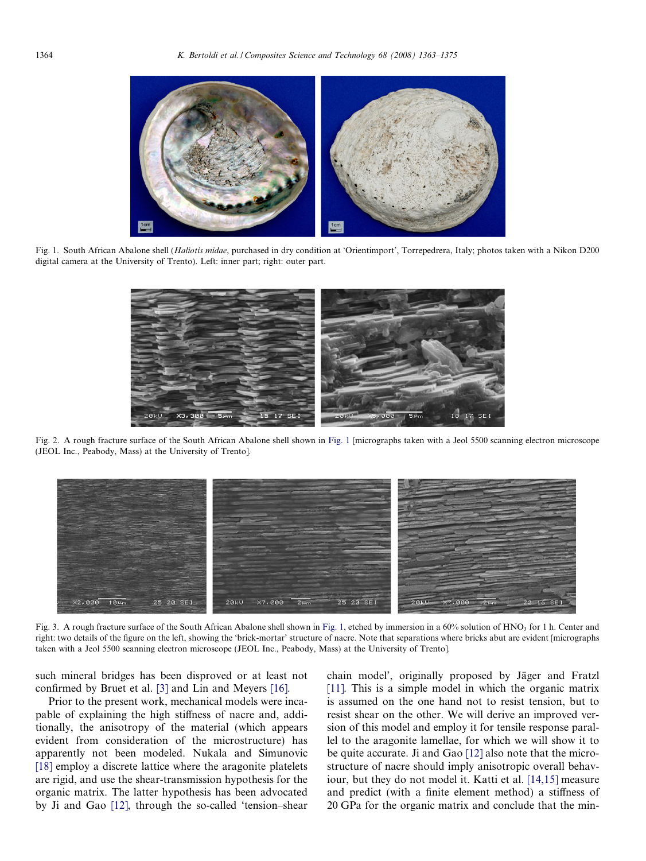<span id="page-1-0"></span>

Fig. 1. South African Abalone shell (Haliotis midae, purchased in dry condition at 'Orientimport', Torrepedrera, Italy; photos taken with a Nikon D200 digital camera at the University of Trento). Left: inner part; right: outer part.



Fig. 2. A rough fracture surface of the South African Abalone shell shown in Fig. 1 [micrographs taken with a Jeol 5500 scanning electron microscope (JEOL Inc., Peabody, Mass) at the University of Trento].



Fig. 3. A rough fracture surface of the South African Abalone shell shown in Fig. 1, etched by immersion in a 60% solution of HNO<sub>3</sub> for 1 h. Center and right: two details of the figure on the left, showing the 'brick-mortar' structure of nacre. Note that separations where bricks abut are evident [micrographs taken with a Jeol 5500 scanning electron microscope (JEOL Inc., Peabody, Mass) at the University of Trento].

such mineral bridges has been disproved or at least not confirmed by Bruet et al. [\[3\]](#page-11-0) and Lin and Meyers [\[16\]](#page-12-0).

Prior to the present work, mechanical models were incapable of explaining the high stiffness of nacre and, additionally, the anisotropy of the material (which appears evident from consideration of the microstructure) has apparently not been modeled. Nukala and Simunovic [\[18\]](#page-12-0) employ a discrete lattice where the aragonite platelets are rigid, and use the shear-transmission hypothesis for the organic matrix. The latter hypothesis has been advocated by Ji and Gao [\[12\],](#page-11-0) through the so-called 'tension–shear

chain model', originally proposed by Jäger and Fratzl [\[11\]](#page-11-0). This is a simple model in which the organic matrix is assumed on the one hand not to resist tension, but to resist shear on the other. We will derive an improved version of this model and employ it for tensile response parallel to the aragonite lamellae, for which we will show it to be quite accurate. Ji and Gao [\[12\]](#page-11-0) also note that the microstructure of nacre should imply anisotropic overall behaviour, but they do not model it. Katti et al. [\[14,15\]](#page-12-0) measure and predict (with a finite element method) a stiffness of 20 GPa for the organic matrix and conclude that the min-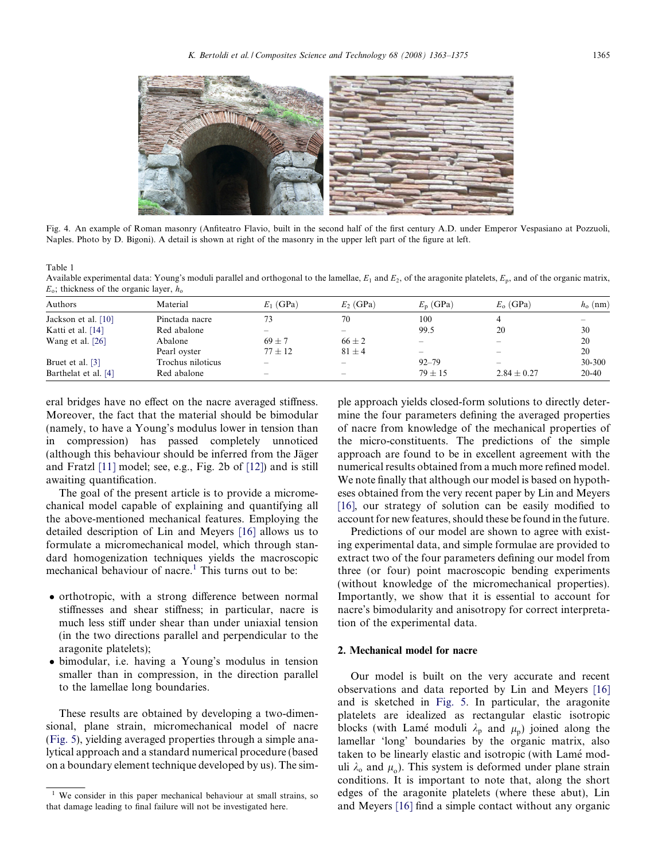<span id="page-2-0"></span>

Fig. 4. An example of Roman masonry (Anfiteatro Flavio, built in the second half of the first century A.D. under Emperor Vespasiano at Pozzuoli, Naples. Photo by D. Bigoni). A detail is shown at right of the masonry in the upper left part of the figure at left.

Table 1

Available experimental data: Young's moduli parallel and orthogonal to the lamellae,  $E_1$  and  $E_2$ , of the aragonite platelets,  $E_p$ , and of the organic matrix,  $E_0$ ; thickness of the organic layer,  $h_0$ 

| Authors               | Material          | $E_1$ (GPa)              | $E_2$ (GPa)              | $E_n$ (GPa)      | $E_0$ (GPa)       | $h_0$ (nm) |
|-----------------------|-------------------|--------------------------|--------------------------|------------------|-------------------|------------|
| Jackson et al. $[10]$ | Pinctada nacre    | 73                       | 70                       | 100              | 4                 |            |
| Katti et al. [14]     | Red abalone       | $\overline{\phantom{a}}$ | $\overline{\phantom{a}}$ | 99.5             | 20                | 30         |
| Wang et al. $[26]$    | Abalone           | $69 + 7$                 | $66 + 2$                 | $\sim$           |                   | 20         |
|                       | Pearl oyster      | $77 \pm 12$              | $81 \pm 4$               | $\hspace{0.5cm}$ | $\hspace{0.05cm}$ | 20         |
| Bruet et al. [3]      | Trochus niloticus |                          | $\overline{\phantom{a}}$ | $92 - 79$        |                   | 30-300     |
| Barthelat et al. [4]  | Red abalone       | $\sim$                   | $\sim$                   | $79 + 15$        | $2.84 \pm 0.27$   | $20 - 40$  |

eral bridges have no effect on the nacre averaged stiffness. Moreover, the fact that the material should be bimodular (namely, to have a Young's modulus lower in tension than in compression) has passed completely unnoticed (although this behaviour should be inferred from the Jäger and Fratzl [\[11\]](#page-11-0) model; see, e.g., Fig. 2b of [\[12\]\)](#page-11-0) and is still awaiting quantification.

The goal of the present article is to provide a micromechanical model capable of explaining and quantifying all the above-mentioned mechanical features. Employing the detailed description of Lin and Meyers [\[16\]](#page-12-0) allows us to formulate a micromechanical model, which through standard homogenization techniques yields the macroscopic mechanical behaviour of nacre.<sup>1</sup> This turns out to be:

- orthotropic, with a strong difference between normal stiffnesses and shear stiffness; in particular, nacre is much less stiff under shear than under uniaxial tension (in the two directions parallel and perpendicular to the aragonite platelets);
- bimodular, i.e. having a Young's modulus in tension smaller than in compression, in the direction parallel to the lamellae long boundaries.

These results are obtained by developing a two-dimensional, plane strain, micromechanical model of nacre ([Fig. 5](#page-3-0)), yielding averaged properties through a simple analytical approach and a standard numerical procedure (based on a boundary element technique developed by us). The simple approach yields closed-form solutions to directly determine the four parameters defining the averaged properties of nacre from knowledge of the mechanical properties of the micro-constituents. The predictions of the simple approach are found to be in excellent agreement with the numerical results obtained from a much more refined model. We note finally that although our model is based on hypotheses obtained from the very recent paper by Lin and Meyers [\[16\],](#page-12-0) our strategy of solution can be easily modified to account for new features, should these be found in the future.

Predictions of our model are shown to agree with existing experimental data, and simple formulae are provided to extract two of the four parameters defining our model from three (or four) point macroscopic bending experiments (without knowledge of the micromechanical properties). Importantly, we show that it is essential to account for nacre's bimodularity and anisotropy for correct interpretation of the experimental data.

## 2. Mechanical model for nacre

Our model is built on the very accurate and recent observations and data reported by Lin and Meyers [\[16\]](#page-12-0) and is sketched in [Fig. 5.](#page-3-0) In particular, the aragonite platelets are idealized as rectangular elastic isotropic blocks (with Lamé moduli  $\lambda_p$  and  $\mu_p$ ) joined along the lamellar 'long' boundaries by the organic matrix, also taken to be linearly elastic and isotropic (with Lamé moduli  $\lambda_0$  and  $\mu_0$ ). This system is deformed under plane strain conditions. It is important to note that, along the short edges of the aragonite platelets (where these abut), Lin and Meyers [\[16\]](#page-12-0) find a simple contact without any organic

<sup>&</sup>lt;sup>1</sup> We consider in this paper mechanical behaviour at small strains, so that damage leading to final failure will not be investigated here.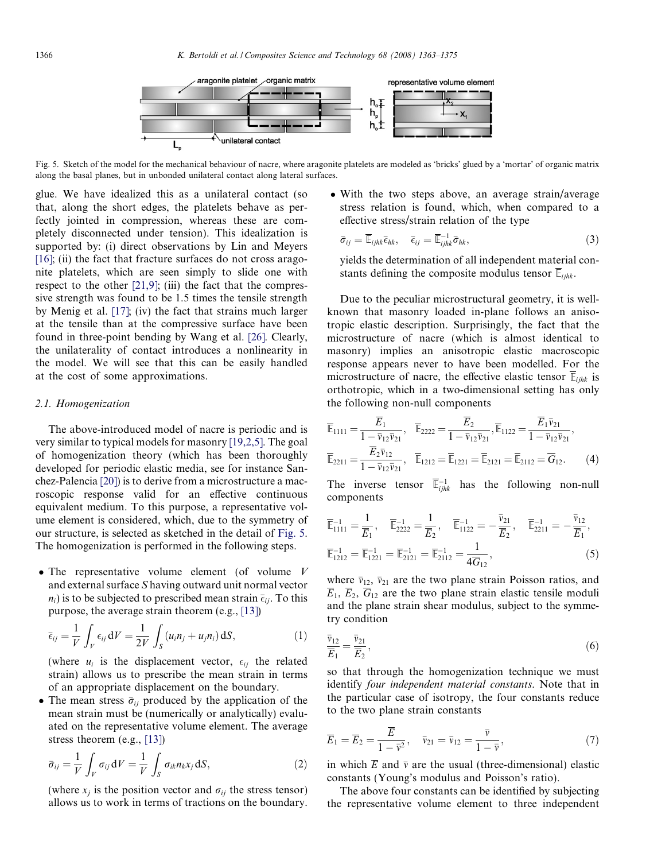<span id="page-3-0"></span>

Fig. 5. Sketch of the model for the mechanical behaviour of nacre, where aragonite platelets are modeled as 'bricks' glued by a 'mortar' of organic matrix along the basal planes, but in unbonded unilateral contact along lateral surfaces.

glue. We have idealized this as a unilateral contact (so that, along the short edges, the platelets behave as perfectly jointed in compression, whereas these are completely disconnected under tension). This idealization is supported by: (i) direct observations by Lin and Meyers  $[16]$ ; (ii) the fact that fracture surfaces do not cross aragonite platelets, which are seen simply to slide one with respect to the other  $[21,9]$ ; (iii) the fact that the compressive strength was found to be 1.5 times the tensile strength by Menig et al. [\[17\];](#page-12-0) (iv) the fact that strains much larger at the tensile than at the compressive surface have been found in three-point bending by Wang et al. [\[26\]](#page-12-0). Clearly, the unilaterality of contact introduces a nonlinearity in the model. We will see that this can be easily handled at the cost of some approximations.

#### 2.1. Homogenization

The above-introduced model of nacre is periodic and is very similar to typical models for masonry [\[19,2,5\]](#page-12-0). The goal of homogenization theory (which has been thoroughly developed for periodic elastic media, see for instance Sanchez-Palencia [\[20\]\)](#page-12-0) is to derive from a microstructure a macroscopic response valid for an effective continuous equivalent medium. To this purpose, a representative volume element is considered, which, due to the symmetry of our structure, is selected as sketched in the detail of Fig. 5. The homogenization is performed in the following steps.

• The representative volume element (of volume  $V$ and external surface S having outward unit normal vector  $n_i$ ) is to be subjected to prescribed mean strain  $\bar{\epsilon}_{ij}$ . To this purpose, the average strain theorem (e.g., [\[13\]\)](#page-12-0)

$$
\bar{\epsilon}_{ij} = \frac{1}{V} \int_{V} \epsilon_{ij} dV = \frac{1}{2V} \int_{S} (u_i n_j + u_j n_i) dS,
$$
\n(1)

(where  $u_i$  is the displacement vector,  $\epsilon_{ij}$  the related strain) allows us to prescribe the mean strain in terms of an appropriate displacement on the boundary.

• The mean stress  $\bar{\sigma}_{ij}$  produced by the application of the mean strain must be (numerically or analytically) evaluated on the representative volume element. The average stress theorem (e.g., [\[13\]\)](#page-12-0)

$$
\bar{\sigma}_{ij} = \frac{1}{V} \int_{V} \sigma_{ij} \, dV = \frac{1}{V} \int_{S} \sigma_{ik} n_{k} x_{j} \, dS,
$$
\n(2)

(where  $x_i$  is the position vector and  $\sigma_{ij}$  the stress tensor) allows us to work in terms of tractions on the boundary.

• With the two steps above, an average strain/average stress relation is found, which, when compared to a effective stress/strain relation of the type

$$
\bar{\sigma}_{ij} = \overline{\mathbb{E}}_{ijhk} \bar{\epsilon}_{hk}, \quad \bar{\epsilon}_{ij} = \overline{\mathbb{E}}_{ijk}^{-1} \bar{\sigma}_{hk}, \tag{3}
$$

yields the determination of all independent material constants defining the composite modulus tensor  $\overline{\mathbb{E}}_{ijhk}$ .

Due to the peculiar microstructural geometry, it is wellknown that masonry loaded in-plane follows an anisotropic elastic description. Surprisingly, the fact that the microstructure of nacre (which is almost identical to masonry) implies an anisotropic elastic macroscopic response appears never to have been modelled. For the microstructure of nacre, the effective elastic tensor  $\overline{\mathbb{E}}_{ijhk}$  is orthotropic, which in a two-dimensional setting has only the following non-null components

$$
\overline{\mathbb{E}}_{1111} = \frac{\overline{E}_1}{1 - \overline{v}_{12}\overline{v}_{21}}, \quad \overline{\mathbb{E}}_{2222} = \frac{\overline{E}_2}{1 - \overline{v}_{12}\overline{v}_{21}}, \overline{\mathbb{E}}_{1122} = \frac{\overline{E}_1 \overline{v}_{21}}{1 - \overline{v}_{12}\overline{v}_{21}}, \overline{\mathbb{E}}_{2211} = \frac{\overline{E}_2 \overline{v}_{12}}{1 - \overline{v}_{12}\overline{v}_{21}}, \quad \overline{\mathbb{E}}_{1212} = \overline{\mathbb{E}}_{1221} = \overline{\mathbb{E}}_{2121} = \overline{\mathbb{E}}_{2112} = \overline{G}_{12}.
$$
\n(4)

The inverse tensor  $\overline{\mathbb{E}}_{ijkl}^{-1}$  has the following non-null components

$$
\overline{\mathbb{E}}_{111}^{-1} = \frac{1}{\overline{E}_1}, \quad \overline{\mathbb{E}}_{2222}^{-1} = \frac{1}{\overline{E}_2}, \quad \overline{\mathbb{E}}_{1122}^{-1} = -\frac{\overline{v}_{21}}{\overline{E}_2}, \quad \overline{\mathbb{E}}_{2211}^{-1} = -\frac{\overline{v}_{12}}{\overline{E}_1}, \n\overline{\mathbb{E}}_{1212}^{-1} = \overline{\mathbb{E}}_{121}^{-1} = \overline{\mathbb{E}}_{2121}^{-1} = \overline{\mathbb{E}}_{2112}^{-1} = \frac{1}{4\overline{G}_{12}},
$$
\n(5)

where  $\bar{v}_{12}$ ,  $\bar{v}_{21}$  are the two plane strain Poisson ratios, and  $\overline{E}_1$ ,  $\overline{E}_2$ ,  $\overline{G}_{12}$  are the two plane strain elastic tensile moduli and the plane strain shear modulus, subject to the symmetry condition

$$
\frac{\bar{v}_{12}}{\overline{E}_1} = \frac{\bar{v}_{21}}{\overline{E}_2},\tag{6}
$$

so that through the homogenization technique we must identify four independent material constants. Note that in the particular case of isotropy, the four constants reduce to the two plane strain constants

$$
\overline{E}_1 = \overline{E}_2 = \frac{\overline{E}}{1 - \overline{v}^2}, \quad \overline{v}_{21} = \overline{v}_{12} = \frac{\overline{v}}{1 - \overline{v}}, \tag{7}
$$

in which  $\overline{E}$  and  $\overline{v}$  are the usual (three-dimensional) elastic constants (Young's modulus and Poisson's ratio).

The above four constants can be identified by subjecting the representative volume element to three independent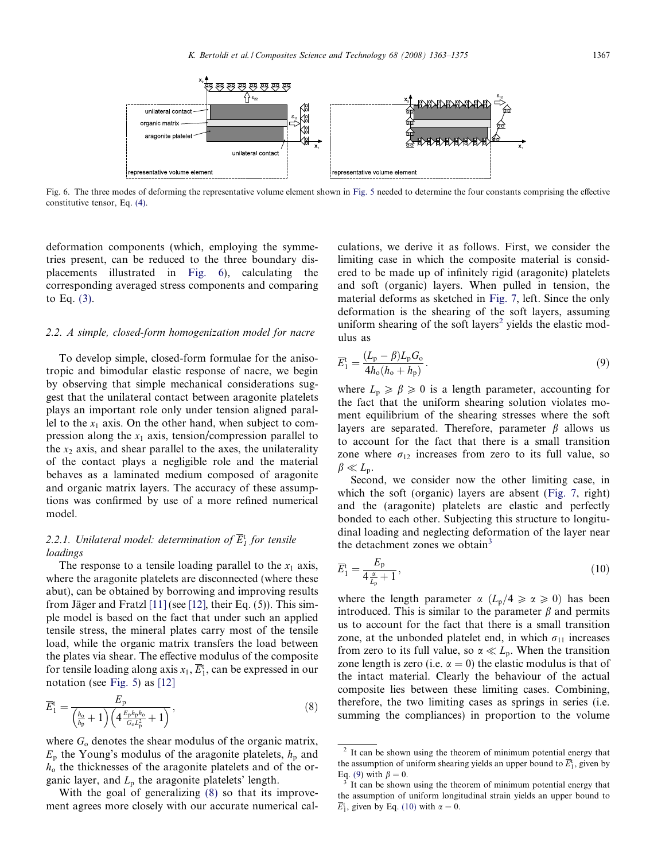<span id="page-4-0"></span>

Fig. 6. The three modes of deforming the representative volume element shown in [Fig. 5](#page-3-0) needed to determine the four constants comprising the effective constitutive tensor, Eq. [\(4\)](#page-3-0).

deformation components (which, employing the symmetries present, can be reduced to the three boundary displacements illustrated in Fig. 6), calculating the corresponding averaged stress components and comparing to Eq. [\(3\).](#page-3-0)

## 2.2. A simple, closed-form homogenization model for nacre

To develop simple, closed-form formulae for the anisotropic and bimodular elastic response of nacre, we begin by observing that simple mechanical considerations suggest that the unilateral contact between aragonite platelets plays an important role only under tension aligned parallel to the  $x_1$  axis. On the other hand, when subject to compression along the  $x_1$  axis, tension/compression parallel to the  $x<sub>2</sub>$  axis, and shear parallel to the axes, the unilaterality of the contact plays a negligible role and the material behaves as a laminated medium composed of aragonite and organic matrix layers. The accuracy of these assumptions was confirmed by use of a more refined numerical model.

# 2.2.1. Unilateral model: determination of  $\overline{E}_{I}^{\mathrm{t}}$  for tensile loadings

The response to a tensile loading parallel to the  $x_1$  axis, where the aragonite platelets are disconnected (where these abut), can be obtained by borrowing and improving results from Jäger and Fratzl  $[11]$  (see [\[12\]](#page-11-0), their Eq. (5)). This simple model is based on the fact that under such an applied tensile stress, the mineral plates carry most of the tensile load, while the organic matrix transfers the load between the plates via shear. The effective modulus of the composite for tensile loading along axis  $x_1$ ,  $\overline{E}_1^t$ , can be expressed in our notation (see [Fig. 5\)](#page-3-0) as [\[12\]](#page-11-0)

$$
\overline{E}_{1}^{\mathrm{t}} = \frac{E_{\mathrm{p}}}{\left(\frac{h_{\mathrm{o}}}{h_{\mathrm{p}}} + 1\right) \left(4 \frac{E_{\mathrm{p}} h_{\mathrm{p}} h_{\mathrm{o}}}{G_{\mathrm{o}} L_{\mathrm{p}}^{2}} + 1\right)},\tag{8}
$$

where  $G_0$  denotes the shear modulus of the organic matrix,  $E_p$  the Young's modulus of the aragonite platelets,  $h_p$  and  $h<sub>o</sub>$  the thicknesses of the aragonite platelets and of the organic layer, and  $L_p$  the aragonite platelets' length.

With the goal of generalizing (8) so that its improvement agrees more closely with our accurate numerical calculations, we derive it as follows. First, we consider the limiting case in which the composite material is considered to be made up of infinitely rigid (aragonite) platelets and soft (organic) layers. When pulled in tension, the material deforms as sketched in [Fig. 7](#page-5-0), left. Since the only deformation is the shearing of the soft layers, assuming uniform shearing of the soft layers<sup>2</sup> yields the elastic modulus as

$$
\overline{E}_1^t = \frac{(L_p - \beta)L_p G_o}{4h_o(h_o + h_p)}.
$$
\n
$$
(9)
$$

where  $L_p \ge \beta \ge 0$  is a length parameter, accounting for the fact that the uniform shearing solution violates moment equilibrium of the shearing stresses where the soft layers are separated. Therefore, parameter  $\beta$  allows us to account for the fact that there is a small transition zone where  $\sigma_{12}$  increases from zero to its full value, so  $\beta \ll L_{\rm p}$ .

Second, we consider now the other limiting case, in which the soft (organic) layers are absent [\(Fig. 7,](#page-5-0) right) and the (aragonite) platelets are elastic and perfectly bonded to each other. Subjecting this structure to longitudinal loading and neglecting deformation of the layer near the detachment zones we obtain<sup>3</sup>

$$
\overline{E}_1^t = \frac{E_p}{4\frac{\alpha}{L_p} + 1},\tag{10}
$$

where the length parameter  $\alpha$  ( $L_p/4 \ge \alpha \ge 0$ ) has been introduced. This is similar to the parameter  $\beta$  and permits us to account for the fact that there is a small transition zone, at the unbonded platelet end, in which  $\sigma_{11}$  increases from zero to its full value, so  $\alpha \ll L_p$ . When the transition zone length is zero (i.e.  $\alpha = 0$ ) the elastic modulus is that of the intact material. Clearly the behaviour of the actual composite lies between these limiting cases. Combining, therefore, the two limiting cases as springs in series (i.e. summing the compliances) in proportion to the volume

<sup>&</sup>lt;sup>2</sup> It can be shown using the theorem of minimum potential energy that the assumption of uniform shearing yields an upper bound to  $\overline{E}_1^t$ , given by Eq. (9) with  $\beta = 0$ .<br><sup>3</sup> It can be shown using the theorem of minimum potential energy that

the assumption of uniform longitudinal strain yields an upper bound to  $\overline{E}_1^t$ , given by Eq. (10) with  $\alpha = 0$ .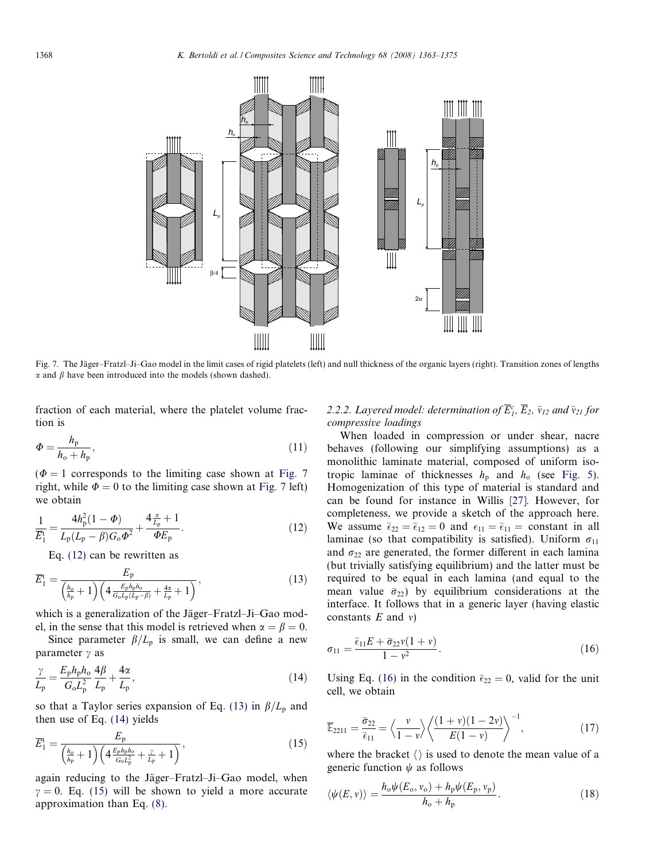<span id="page-5-0"></span>

Fig. 7. The Jäger–Fratzl–Ji–Gao model in the limit cases of rigid platelets (left) and null thickness of the organic layers (right). Transition zones of lengths  $\alpha$  and  $\beta$  have been introduced into the models (shown dashed).

fraction of each material, where the platelet volume fraction is

$$
\Phi = \frac{h_{\rm p}}{h_{\rm o} + h_{\rm p}},\tag{11}
$$

 $(\Phi = 1$  corresponds to the limiting case shown at Fig. 7 right, while  $\Phi = 0$  to the limiting case shown at Fig. 7 left) we obtain

$$
\frac{1}{\overline{E}_1^t} = \frac{4h_p^2(1-\Phi)}{L_p(L_p - \beta)G_o\Phi^2} + \frac{4\frac{\alpha}{L_p} + 1}{\Phi E_p}.
$$
\n(12)

Eq. (12) can be rewritten as

$$
\overline{E}_{1}^{\mathrm{t}} = \frac{E_{\mathrm{p}}}{\left(\frac{h_{\mathrm{o}}}{h_{\mathrm{p}}} + 1\right) \left(4 \frac{E_{\mathrm{p}} h_{\mathrm{p}} h_{\mathrm{o}}}{G_{\mathrm{o}} L_{\mathrm{p}} (L_{\mathrm{p}} - \beta)} + \frac{4\alpha}{L_{\mathrm{p}}} + 1\right)},\tag{13}
$$

which is a generalization of the Jäger–Fratzl–Ji–Gao model, in the sense that this model is retrieved when  $\alpha = \beta = 0$ .

Since parameter  $\beta/L_p$  is small, we can define a new parameter  $\gamma$  as

$$
\frac{\gamma}{L_{\rm p}} = \frac{E_{\rm p} h_{\rm p} h_{\rm o}}{G_{\rm o} L_{\rm p}^2} \frac{4\beta}{L_{\rm p}} + \frac{4\alpha}{L_{\rm p}},\tag{14}
$$

so that a Taylor series expansion of Eq. (13) in  $\beta/L_p$  and then use of Eq. (14) yields

$$
\overline{E}_{1}^{\mathrm{t}} = \frac{E_{\mathrm{p}}}{\left(\frac{h_{\mathrm{o}}}{h_{\mathrm{p}}} + 1\right) \left(4 \frac{E_{\mathrm{p}} h_{\mathrm{p}} h_{\mathrm{o}}}{G_{\mathrm{o}} L_{\mathrm{p}}^{2}} + \frac{\gamma}{L_{\mathrm{p}}} + 1\right)},\tag{15}
$$

again reducing to the Jäger–Fratzl–Ji–Gao model, when  $\gamma = 0$ . Eq. (15) will be shown to yield a more accurate approximation than Eq. [\(8\).](#page-4-0)

# 2.2.2. Layered model: determination of  $\overline{E}_1^c$ ,  $\overline{E}_2$ ,  $\overline{v}_{12}$  and  $\overline{v}_{21}$  for compressive loadings

When loaded in compression or under shear, nacre behaves (following our simplifying assumptions) as a monolithic laminate material, composed of uniform isotropic laminae of thicknesses  $h_p$  and  $h_o$  (see [Fig. 5\)](#page-3-0). Homogenization of this type of material is standard and can be found for instance in Willis [\[27\]](#page-12-0). However, for completeness, we provide a sketch of the approach here. We assume  $\bar{\epsilon}_{22} = \bar{\epsilon}_{12} = 0$  and  $\epsilon_{11} = \bar{\epsilon}_{11} = \text{constant}$  in all laminae (so that compatibility is satisfied). Uniform  $\sigma_{11}$ and  $\sigma_{22}$  are generated, the former different in each lamina (but trivially satisfying equilibrium) and the latter must be required to be equal in each lamina (and equal to the mean value  $\bar{\sigma}_{22}$ ) by equilibrium considerations at the interface. It follows that in a generic layer (having elastic constants  $E$  and  $v$ )

$$
\sigma_{11} = \frac{\bar{\epsilon}_{11}E + \bar{\sigma}_{22}v(1+v)}{1-v^2}.
$$
\n(16)

Using Eq. (16) in the condition  $\bar{\epsilon}_{22} = 0$ , valid for the unit cell, we obtain

$$
\overline{\mathbb{E}}_{2211} = \frac{\overline{\sigma}_{22}}{\overline{\epsilon}_{11}} = \left\langle \frac{v}{1-v} \right\rangle \left\langle \frac{(1+v)(1-2v)}{E(1-v)} \right\rangle^{-1},\tag{17}
$$

where the bracket  $\langle \rangle$  is used to denote the mean value of a generic function  $\psi$  as follows

$$
\langle \psi(E, v) \rangle = \frac{h_{o}\psi(E_{o}, v_{o}) + h_{p}\psi(E_{p}, v_{p})}{h_{o} + h_{p}}.
$$
\n(18)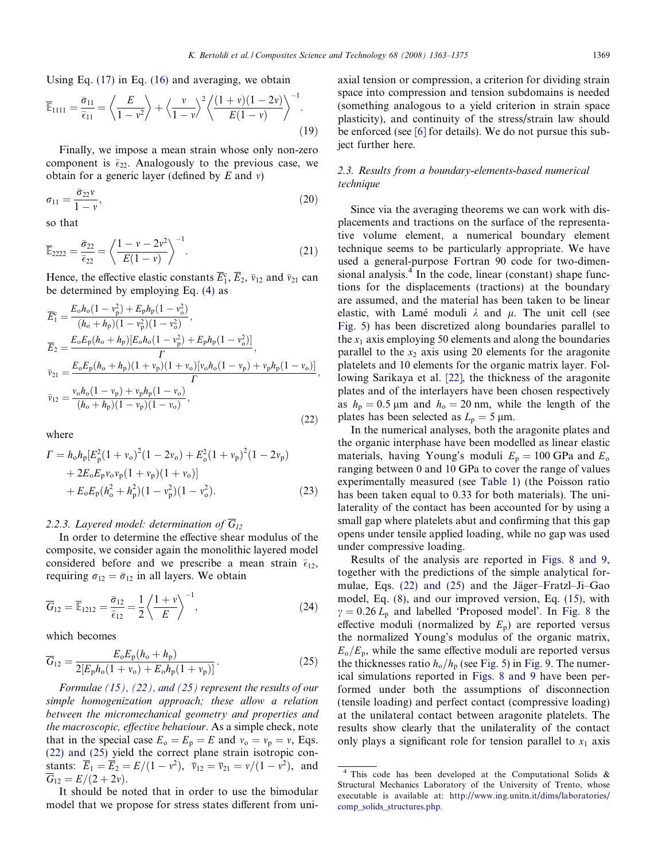<span id="page-6-0"></span>Using Eq. [\(17\)](#page-5-0) in Eq. [\(16\)](#page-5-0) and averaging, we obtain

$$
\overline{\mathbb{E}}_{1111} = \frac{\overline{\sigma}_{11}}{\overline{\epsilon}_{11}} = \left\langle \frac{E}{1 - v^2} \right\rangle + \left\langle \frac{v}{1 - v} \right\rangle^2 \left\langle \frac{(1 + v)(1 - 2v)}{E(1 - v)} \right\rangle^{-1}.
$$
\n(19)

Finally, we impose a mean strain whose only non-zero component is  $\bar{\epsilon}_{22}$ . Analogously to the previous case, we obtain for a generic layer (defined by  $E$  and  $v$ )

$$
\sigma_{11} = \frac{\bar{\sigma}_{22}v}{1 - v},\tag{20}
$$

so that

$$
\overline{\mathbb{E}}_{2222} = \frac{\overline{\sigma}_{22}}{\overline{\epsilon}_{22}} = \left\langle \frac{1 - v - 2v^2}{E(1 - v)} \right\rangle^{-1}.
$$
\n(21)

Hence, the effective elastic constants  $\overline{E}_1^c$ ,  $\overline{E}_2$ ,  $\overline{v}_{12}$  and  $\overline{v}_{21}$  can be determined by employing Eq. [\(4\)](#page-3-0) as

$$
\overline{E}_{1}^{c} = \frac{E_{o}h_{o}(1 - v_{p}^{2}) + E_{p}h_{p}(1 - v_{o}^{2})}{(h_{o} + h_{p})(1 - v_{p}^{2})(1 - v_{o}^{2})}, \n\overline{E}_{2} = \frac{E_{o}E_{p}(h_{o} + h_{p})[E_{o}h_{o}(1 - v_{p}^{2}) + E_{p}h_{p}(1 - v_{o}^{2})]}{\Gamma}, \n\overline{v}_{21} = \frac{E_{o}E_{p}(h_{o} + h_{p})(1 + v_{p})(1 + v_{o})[v_{o}h_{o}(1 - v_{p}) + v_{p}h_{p}(1 - v_{o})]}{\Gamma}, \n\overline{v}_{12} = \frac{v_{o}h_{o}(1 - v_{p}) + v_{p}h_{p}(1 - v_{o})}{(h_{o} + h_{p})(1 - v_{p})(1 - v_{o})},
$$
\n(22)

where

$$
\Gamma = h_{\rm o} h_{\rm p} [E_{\rm p}^{2} (1 + v_{\rm o})^{2} (1 - 2v_{\rm o}) + E_{\rm o}^{2} (1 + v_{\rm p})^{2} (1 - 2v_{\rm p}) \n+ 2E_{\rm o} E_{\rm p} v_{\rm o} v_{\rm p} (1 + v_{\rm p}) (1 + v_{\rm o})] \n+ E_{\rm o} E_{\rm p} (h_{\rm o}^{2} + h_{\rm p}^{2}) (1 - v_{\rm p}^{2}) (1 - v_{\rm o}^{2}).
$$
\n(23)

#### 2.2.3. Layered model: determination of  $\overline{G}_{12}$

In order to determine the effective shear modulus of the composite, we consider again the monolithic layered model considered before and we prescribe a mean strain  $\bar{\epsilon}_{12}$ , requiring  $\sigma_{12} = \bar{\sigma}_{12}$  in all layers. We obtain

$$
\overline{G}_{12} = \overline{\mathbb{E}}_{1212} = \frac{\overline{\sigma}_{12}}{\overline{\epsilon}_{12}} = \frac{1}{2} \left\langle \frac{1+v}{E} \right\rangle^{-1},\tag{24}
$$

which becomes

$$
\overline{G}_{12} = \frac{E_{o}E_{p}(h_{o} + h_{p})}{2[E_{p}h_{o}(1 + v_{o}) + E_{o}h_{p}(1 + v_{p})]}.
$$
\n(25)

Formulae [\(15\), \(22\), and \(25\)](#page-5-0) represent the results of our simple homogenization approach; these allow a relation between the micromechanical geometry and properties and the macroscopic, effective behaviour. As a simple check, note that in the special case  $E_o = E_p = E$  and  $v_o = v_p = v$ , Eqs. (22) and (25) yield the correct plane strain isotropic constants:  $\overline{E}_1 = \overline{E}_2 = E/(1 - v^2)$ ,  $\overline{v}_{12} = \overline{v}_{21} = v/(1 - v^2)$ , and  $\overline{G}_{12} = E/(2 + 2v)$ .

It should be noted that in order to use the bimodular model that we propose for stress states different from uniaxial tension or compression, a criterion for dividing strain space into compression and tension subdomains is needed (something analogous to a yield criterion in strain space plasticity), and continuity of the stress/strain law should be enforced (see [\[6\]](#page-11-0) for details). We do not pursue this subject further here.

## 2.3. Results from a boundary-elements-based numerical technique

Since via the averaging theorems we can work with displacements and tractions on the surface of the representative volume element, a numerical boundary element technique seems to be particularly appropriate. We have used a general-purpose Fortran 90 code for two-dimensional analysis. $4$  In the code, linear (constant) shape functions for the displacements (tractions) at the boundary are assumed, and the material has been taken to be linear elastic, with Lamé moduli  $\lambda$  and  $\mu$ . The unit cell (see [Fig. 5\)](#page-3-0) has been discretized along boundaries parallel to the  $x_1$  axis employing 50 elements and along the boundaries parallel to the  $x<sub>2</sub>$  axis using 20 elements for the aragonite platelets and 10 elements for the organic matrix layer. Following Sarikaya et al. [\[22\]](#page-12-0), the thickness of the aragonite plates and of the interlayers have been chosen respectively as  $h_p = 0.5 \mu m$  and  $h_o = 20 \mu m$ , while the length of the plates has been selected as  $L_p = 5 \mu m$ .

In the numerical analyses, both the aragonite plates and the organic interphase have been modelled as linear elastic materials, having Young's moduli  $E_p = 100 \text{ GPa}$  and  $E_o$ ranging between 0 and 10 GPa to cover the range of values experimentally measured (see [Table 1\)](#page-2-0) (the Poisson ratio has been taken equal to 0.33 for both materials). The unilaterality of the contact has been accounted for by using a small gap where platelets abut and confirming that this gap opens under tensile applied loading, while no gap was used under compressive loading.

Results of the analysis are reported in [Figs. 8 and 9,](#page-7-0) together with the predictions of the simple analytical formulae, Eqs.  $(22)$  and  $(25)$  and the Jäger–Fratzl–Ji–Gao model, Eq. [\(8\),](#page-4-0) and our improved version, Eq. [\(15\)](#page-5-0), with  $\gamma = 0.26 L_{\rm p}$  and labelled 'Proposed model'. In [Fig. 8](#page-7-0) the effective moduli (normalized by  $E_p$ ) are reported versus the normalized Young's modulus of the organic matrix,  $E_{\rm o}/E_{\rm p}$ , while the same effective moduli are reported versus the thicknesses ratio  $h_{\rm o}/h_{\rm p}$  (see [Fig. 5](#page-3-0)) in [Fig. 9.](#page-8-0) The numerical simulations reported in [Figs. 8 and 9](#page-7-0) have been performed under both the assumptions of disconnection (tensile loading) and perfect contact (compressive loading) at the unilateral contact between aragonite platelets. The results show clearly that the unilaterality of the contact only plays a significant role for tension parallel to  $x_1$  axis

<sup>4</sup> This code has been developed at the Computational Solids & Structural Mechanics Laboratory of the University of Trento, whose executable is available at: [http://www.ing.unitn.it/dims/laboratories/](http://www.ing.unitn.it/dims/laboratories/comp_solids_structures.php) [comp\\_solids\\_structures.php](http://www.ing.unitn.it/dims/laboratories/comp_solids_structures.php).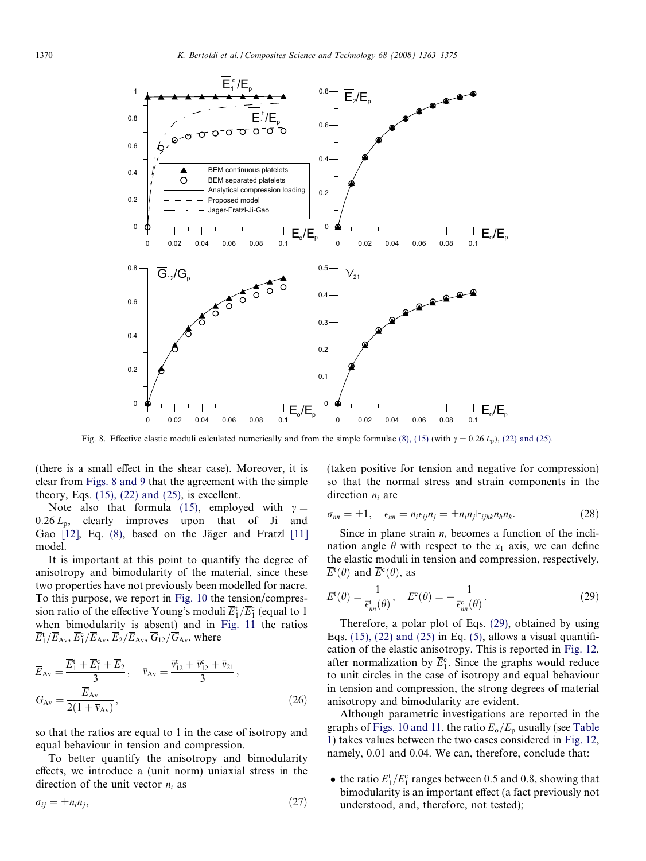<span id="page-7-0"></span>

Fig. 8. Effective elastic moduli calculated numerically and from the simple formulae [\(8\), \(15\)](#page-4-0) (with  $\gamma = 0.26 L_p$ ), [\(22\) and \(25\)](#page-6-0).

(there is a small effect in the shear case). Moreover, it is clear from Figs. 8 and 9 that the agreement with the simple theory, Eqs.  $(15)$ ,  $(22)$  and  $(25)$ , is excellent.

Note also that formula [\(15\),](#page-5-0) employed with  $\gamma =$  $0.26 L_p$ , clearly improves upon that of Ji and Gao  $[12]$ , Eq.  $(8)$ , based on the Jäger and Fratzl  $[11]$ model.

It is important at this point to quantify the degree of anisotropy and bimodularity of the material, since these two properties have not previously been modelled for nacre. To this purpose, we report in [Fig. 10](#page-8-0) the tension/compression ratio of the effective Young's moduli  $\overline{E}_1^t/\overline{E}_1^c$  (equal to 1 when bimodularity is absent) and in [Fig. 11](#page-9-0) the ratios  $\overline{E}_1^{\rm t}/\overline{E}_{\rm Av}, \overline{E}_1/\overline{E}_{\rm Av}, \overline{E}_2/\overline{E}_{\rm Av}, \overline{G}_{12}/\overline{G}_{\rm Av},$  where

$$
\overline{E}_{Av} = \frac{\overline{E}_1^t + \overline{E}_1^c + \overline{E}_2}{3}, \quad \overline{v}_{Av} = \frac{\overline{v}_{12}^t + \overline{v}_{12}^c + \overline{v}_{21}^c}{3},
$$
\n
$$
\overline{G}_{Av} = \frac{\overline{E}_{Av}}{2(1 + \overline{v}_{Av})},
$$
\n(26)

so that the ratios are equal to 1 in the case of isotropy and equal behaviour in tension and compression.

To better quantify the anisotropy and bimodularity effects, we introduce a (unit norm) uniaxial stress in the direction of the unit vector  $n_i$  as

$$
\sigma_{ij} = \pm n_i n_j,\tag{27}
$$

(taken positive for tension and negative for compression) so that the normal stress and strain components in the direction  $n_i$  are

$$
\sigma_{nn} = \pm 1, \quad \epsilon_{nn} = n_i \epsilon_{ij} n_j = \pm n_i n_j \overline{\mathbb{E}}_{ijhk} n_h n_k. \tag{28}
$$

Since in plane strain  $n_i$  becomes a function of the inclination angle  $\theta$  with respect to the  $x_1$  axis, we can define the elastic moduli in tension and compression, respectively,  $\overline{E}^{\rm t}(\theta)$  and  $\overline{E}^{\rm c}(\theta)$ , as

$$
\overline{E}^{\rm t}(\theta) = \frac{1}{\overline{\epsilon}_{nn}^{\rm t}(\theta)}, \quad \overline{E}^{\rm c}(\theta) = -\frac{1}{\overline{\epsilon}_{nn}^{\rm c}(\theta)}.
$$
\n(29)

Therefore, a polar plot of Eqs. (29), obtained by using Eqs.  $(15)$ ,  $(22)$  and  $(25)$  in Eq.  $(5)$ , allows a visual quantification of the elastic anisotropy. This is reported in [Fig. 12](#page-9-0), after normalization by  $\overline{E}_1^c$ . Since the graphs would reduce to unit circles in the case of isotropy and equal behaviour in tension and compression, the strong degrees of material anisotropy and bimodularity are evident.

Although parametric investigations are reported in the graphs of [Figs. 10 and 11](#page-8-0), the ratio  $E_{\rm o}/E_{\rm p}$  usually (see [Table](#page-2-0) [1\)](#page-2-0) takes values between the two cases considered in [Fig. 12](#page-9-0), namely, 0.01 and 0.04. We can, therefore, conclude that:

• the ratio  $\overline{E}_1^t/\overline{E}_1^c$  ranges between 0.5 and 0.8, showing that bimodularity is an important effect (a fact previously not understood, and, therefore, not tested);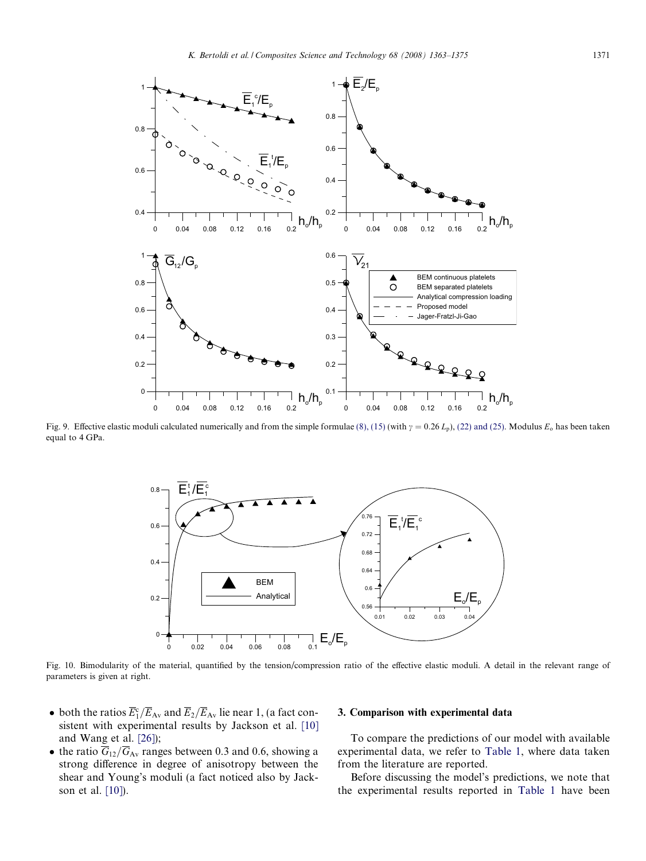<span id="page-8-0"></span>

Fig. 9. Effective elastic moduli calculated numerically and from the simple formulae [\(8\), \(15\)](#page-4-0) (with  $\gamma = 0.26 L_p$ ), [\(22\) and \(25\)](#page-6-0). Modulus  $E_o$  has been taken equal to 4 GPa.



Fig. 10. Bimodularity of the material, quantified by the tension/compression ratio of the effective elastic moduli. A detail in the relevant range of parameters is given at right.

- both the ratios  $\overline{E}_1^c/\overline{E}_{Av}$  and  $\overline{E}_2/\overline{E}_{Av}$  lie near 1, (a fact consistent with experimental results by Jackson et al. [\[10\]](#page-11-0) and Wang et al. [\[26\]\)](#page-12-0);
- the ratio  $G_{12}/G_{Av}$  ranges between 0.3 and 0.6, showing a strong difference in degree of anisotropy between the shear and Young's moduli (a fact noticed also by Jackson et al. [\[10\]\)](#page-11-0).

## 3. Comparison with experimental data

To compare the predictions of our model with available experimental data, we refer to [Table 1](#page-2-0), where data taken from the literature are reported.

Before discussing the model's predictions, we note that the experimental results reported in [Table 1](#page-2-0) have been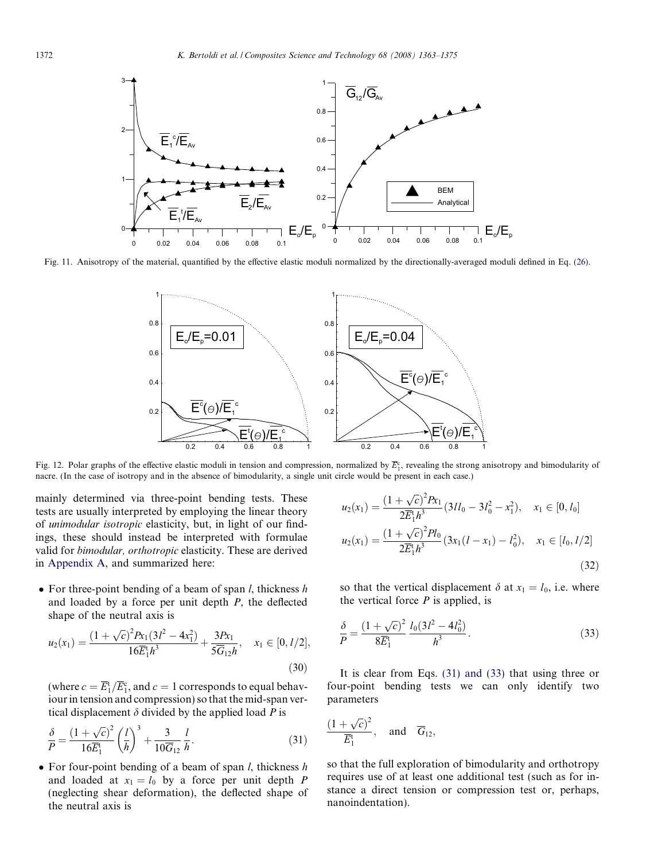<span id="page-9-0"></span>

Fig. 11. Anisotropy of the material, quantified by the effective elastic moduli normalized by the directionally-averaged moduli defined in Eq. [\(26\).](#page-7-0)



Fig. 12. Polar graphs of the effective elastic moduli in tension and compression, normalized by  $\overline{E}_1^c$ , revealing the strong anisotropy and bimodularity of nacre. (In the case of isotropy and in the absence of bimodularity, a single unit circle would be present in each case.)

mainly determined via three-point bending tests. These tests are usually interpreted by employing the linear theory of unimodular isotropic elasticity, but, in light of our findings, these should instead be interpreted with formulae valid for bimodular, orthotropic elasticity. These are derived in Appendix A, and summarized here:

• For three-point bending of a beam of span  $l$ , thickness  $h$ and loaded by a force per unit depth P, the deflected shape of the neutral axis is

$$
u_2(x_1) = \frac{(1+\sqrt{c})^2 P x_1 (3l^2 - 4x_1^2)}{16\overline{E}_1^t h^3} + \frac{3P x_1}{5\overline{G}_{12}h}, \quad x_1 \in [0, l/2],
$$
\n(30)

(where  $c = \overline{E}_1^{\text{t}} / \overline{E}_1^{\text{c}}$ , and  $c = 1$  corresponds to equal behaviour in tension and compression) so that the mid-span vertical displacement  $\delta$  divided by the applied load P is

$$
\frac{\delta}{P} = \frac{(1+\sqrt{c})^2}{16\overline{E}_1^t} \left(\frac{l}{h}\right)^3 + \frac{3}{10\overline{G}_{12}} \frac{l}{h}.
$$
\n(31)

• For four-point bending of a beam of span *l*, thickness *h* and loaded at  $x_1 = l_0$  by a force per unit depth P (neglecting shear deformation), the deflected shape of the neutral axis is

$$
u_2(x_1) = \frac{(1 + \sqrt{c})^2 P x_1}{2 \overline{E}_1^t h^3} (3l l_0 - 3l_0^2 - x_1^2), \quad x_1 \in [0, l_0]
$$
  

$$
u_2(x_1) = \frac{(1 + \sqrt{c})^2 P l_0}{2 \overline{E}_1^t h^3} (3x_1(l - x_1) - l_0^2), \quad x_1 \in [l_0, l/2]
$$
  
(32)

so that the vertical displacement  $\delta$  at  $x_1 = l_0$ , i.e. where the vertical force  $P$  is applied, is

$$
\frac{\delta}{P} = \frac{(1+\sqrt{c})^2}{8\overline{E}_1^t} \frac{I_0(3l^2-4l_0^2)}{h^3}.
$$
\n(33)

It is clear from Eqs. (31) and (33) that using three or four-point bending tests we can only identify two parameters

$$
\frac{(1+\sqrt{c})^2}{\overline{E}_1^{\mathfrak{t}}}, \quad \text{and} \quad \overline{G}_{12},
$$

so that the full exploration of bimodularity and orthotropy requires use of at least one additional test (such as for instance a direct tension or compression test or, perhaps, nanoindentation).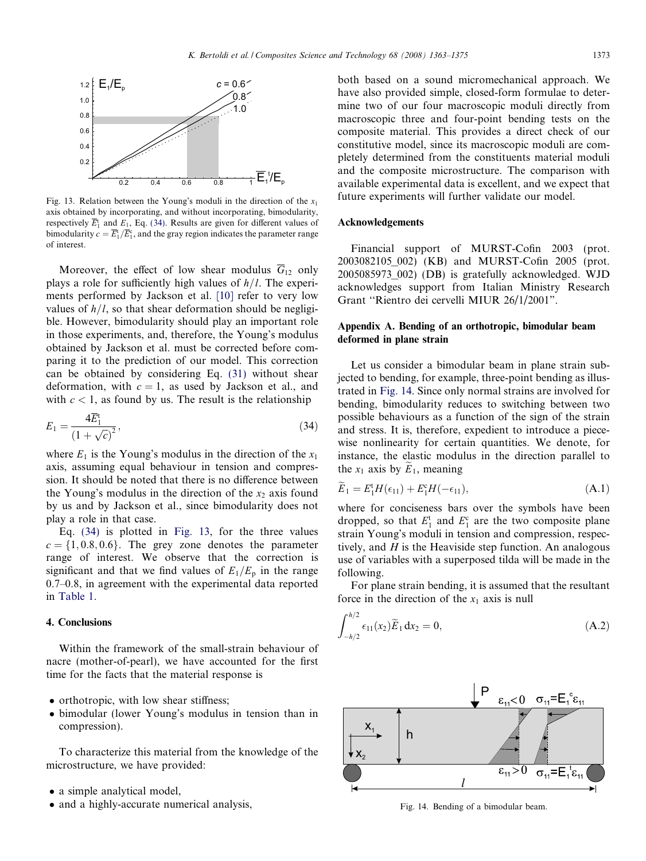<span id="page-10-0"></span>

Fig. 13. Relation between the Young's moduli in the direction of the  $x_1$ axis obtained by incorporating, and without incorporating, bimodularity, respectively  $\overline{E}_1^t$  and  $E_1$ , Eq. (34). Results are given for different values of bimodularity  $c = \overline{E}_1^t / \overline{E}_1^c$ , and the gray region indicates the parameter range of interest.

Moreover, the effect of low shear modulus  $\overline{G}_{12}$  only plays a role for sufficiently high values of  $h/l$ . The experiments performed by Jackson et al. [\[10\]](#page-11-0) refer to very low values of  $h/l$ , so that shear deformation should be negligible. However, bimodularity should play an important role in those experiments, and, therefore, the Young's modulus obtained by Jackson et al. must be corrected before comparing it to the prediction of our model. This correction can be obtained by considering Eq. [\(31\)](#page-9-0) without shear deformation, with  $c = 1$ , as used by Jackson et al., and with  $c < 1$ , as found by us. The result is the relationship

$$
E_1 = \frac{4\overline{E}_1^t}{\left(1 + \sqrt{c}\right)^2},\tag{34}
$$

where  $E_1$  is the Young's modulus in the direction of the  $x_1$ axis, assuming equal behaviour in tension and compression. It should be noted that there is no difference between the Young's modulus in the direction of the  $x<sub>2</sub>$  axis found by us and by Jackson et al., since bimodularity does not play a role in that case.

Eq. (34) is plotted in Fig. 13, for the three values  $c = \{1, 0.8, 0.6\}$ . The grey zone denotes the parameter range of interest. We observe that the correction is significant and that we find values of  $E_1/E_p$  in the range 0.7–0.8, in agreement with the experimental data reported in [Table 1.](#page-2-0)

## 4. Conclusions

Within the framework of the small-strain behaviour of nacre (mother-of-pearl), we have accounted for the first time for the facts that the material response is

- orthotropic, with low shear stiffness;
- $\bullet$  bimodular (lower Young's modulus in tension than in compression).

To characterize this material from the knowledge of the microstructure, we have provided:

- a simple analytical model,
- and a highly-accurate numerical analysis,

both based on a sound micromechanical approach. We have also provided simple, closed-form formulae to determine two of our four macroscopic moduli directly from macroscopic three and four-point bending tests on the composite material. This provides a direct check of our constitutive model, since its macroscopic moduli are completely determined from the constituents material moduli and the composite microstructure. The comparison with available experimental data is excellent, and we expect that future experiments will further validate our model.

#### Acknowledgements

Financial support of MURST-Cofin 2003 (prot. 2003082105\_002) (KB) and MURST-Cofin 2005 (prot. 2005085973\_002) (DB) is gratefully acknowledged. WJD acknowledges support from Italian Ministry Research Grant ''Rientro dei cervelli MIUR 26/1/2001".

# Appendix A. Bending of an orthotropic, bimodular beam deformed in plane strain

Let us consider a bimodular beam in plane strain subjected to bending, for example, three-point bending as illustrated in Fig. 14. Since only normal strains are involved for bending, bimodularity reduces to switching between two possible behaviours as a function of the sign of the strain and stress. It is, therefore, expedient to introduce a piecewise nonlinearity for certain quantities. We denote, for instance, the elastic modulus in the direction parallel to the  $x_1$  axis by  $\widetilde{E}_1$ , meaning

$$
\widetilde{E}_1 = E_1^{\mathrm{t}} H(\epsilon_{11}) + E_1^{\mathrm{c}} H(-\epsilon_{11}),\tag{A.1}
$$

where for conciseness bars over the symbols have been dropped, so that  $E_1^t$  and  $E_1^c$  are the two composite plane strain Young's moduli in tension and compression, respectively, and  $H$  is the Heaviside step function. An analogous use of variables with a superposed tilda will be made in the following.

For plane strain bending, it is assumed that the resultant force in the direction of the  $x_1$  axis is null

$$
\int_{-h/2}^{h/2} \epsilon_{11}(x_2) \widetilde{E}_1 dx_2 = 0, \tag{A.2}
$$



Fig. 14. Bending of a bimodular beam.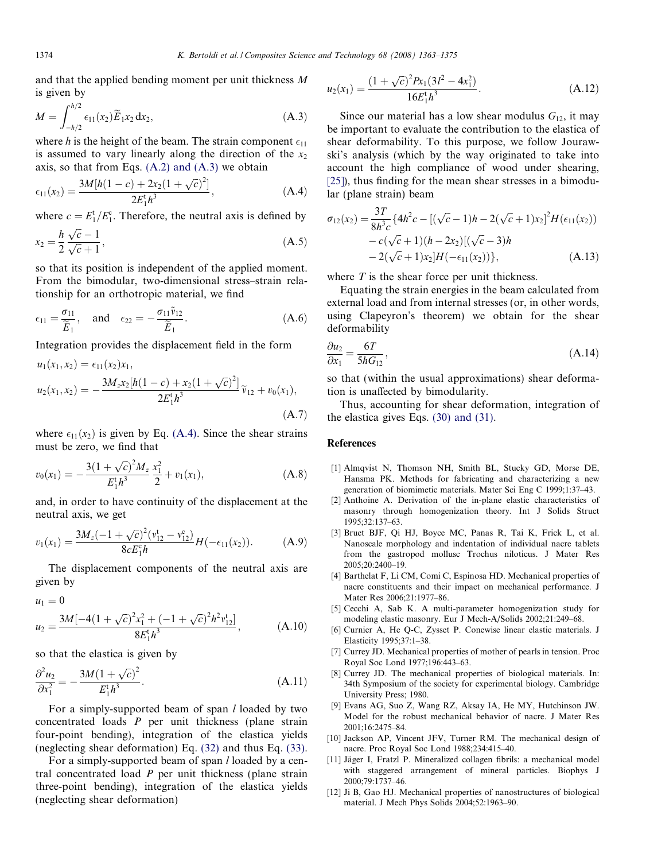<span id="page-11-0"></span>and that the applied bending moment per unit thickness M is given by

$$
M = \int_{-h/2}^{h/2} \epsilon_{11}(x_2) \widetilde{E}_1 x_2 \, \mathrm{d}x_2,\tag{A.3}
$$

where h is the height of the beam. The strain component  $\epsilon_{11}$ is assumed to vary linearly along the direction of the  $x_2$ axis, so that from Eqs.  $(A.2)$  and  $(A.3)$  we obtain

$$
\epsilon_{11}(x_2) = \frac{3M[h(1-c) + 2x_2(1+\sqrt{c})^2]}{2E_1^t h^3},
$$
\n(A.4)

where  $c = E_1^t / E_1^c$ . Therefore, the neutral axis is defined by

$$
x_2 = \frac{h}{2} \frac{\sqrt{c} - 1}{\sqrt{c} + 1},\tag{A.5}
$$

so that its position is independent of the applied moment. From the bimodular, two-dimensional stress–strain relationship for an orthotropic material, we find

$$
\epsilon_{11} = \frac{\sigma_{11}}{\widetilde{E}_1}, \quad \text{and} \quad \epsilon_{22} = -\frac{\sigma_{11}\widetilde{v}_{12}}{\widetilde{E}_1}.
$$
 (A.6)

Integration provides the displacement field in the form

$$
u_1(x_1, x_2) = \epsilon_{11}(x_2)x_1,
$$
  
\n
$$
u_2(x_1, x_2) = -\frac{3M_z x_2 [h(1-c) + x_2 (1 + \sqrt{c})^2]}{2E_1^t h^3} \tilde{v}_{12} + v_0(x_1),
$$
  
\n(A.7)

where  $\epsilon_{11}(x_2)$  is given by Eq. (A.4). Since the shear strains must be zero, we find that

$$
v_0(x_1) = -\frac{3(1+\sqrt{c})^2 M_z}{E_1^t h^3} \frac{x_1^2}{2} + v_1(x_1), \tag{A.8}
$$

and, in order to have continuity of the displacement at the neutral axis, we get

$$
v_1(x_1) = \frac{3M_z(-1+\sqrt{c})^2(v_{12}^t - v_{12}^c)}{8cE_1^c h}H(-\epsilon_{11}(x_2)).
$$
 (A.9)

The displacement components of the neutral axis are given by

$$
u_1 = 0
$$
  

$$
u_2 = \frac{3M[-4(1+\sqrt{c})^2x_1^2 + (-1+\sqrt{c})^2h^2v_{12}^t]}{8E_1^t h^3},
$$
 (A.10)

so that the elastica is given by

$$
\frac{\partial^2 u_2}{\partial x_1^2} = -\frac{3M(1+\sqrt{c})^2}{E_1^{\dagger}h^3}.
$$
 (A.11)

For a simply-supported beam of span *l* loaded by two concentrated loads P per unit thickness (plane strain four-point bending), integration of the elastica yields (neglecting shear deformation) Eq. [\(32\)](#page-9-0) and thus Eq. [\(33\)](#page-9-0).

For a simply-supported beam of span *l* loaded by a central concentrated load  $P$  per unit thickness (plane strain three-point bending), integration of the elastica yields (neglecting shear deformation)

$$
u_2(x_1) = \frac{(1 + \sqrt{c})^2 R_1 (3l^2 - 4x_1^2)}{16E_1^{\dagger} h^3}.
$$
 (A.12)

Since our material has a low shear modulus  $G_{12}$ , it may be important to evaluate the contribution to the elastica of shear deformability. To this purpose, we follow Jourawski's analysis (which by the way originated to take into account the high compliance of wood under shearing, [\[25\]](#page-12-0)), thus finding for the mean shear stresses in a bimodular (plane strain) beam

$$
\sigma_{12}(x_2) = \frac{3T}{8h^3c} \{ 4h^2c - [(\sqrt{c}-1)h - 2(\sqrt{c}+1)x_2]^2 H(\epsilon_{11}(x_2))
$$
  
- c( $\sqrt{c}+1$ )(h - 2x<sub>2</sub>)[( $\sqrt{c}-3$ )h  
- 2( $\sqrt{c}+1$ )x<sub>2</sub>]H(- $\epsilon_{11}(x_2)$ )}, (A.13)

where  $T$  is the shear force per unit thickness.

Equating the strain energies in the beam calculated from external load and from internal stresses (or, in other words, using Clapeyron's theorem) we obtain for the shear deformability

$$
\frac{\partial u_2}{\partial x_1} = \frac{6T}{5hG_{12}},\tag{A.14}
$$

so that (within the usual approximations) shear deformation is unaffected by bimodularity.

Thus, accounting for shear deformation, integration of the elastica gives Eqs. [\(30\) and \(31\)](#page-9-0).

## References

- [1] Almqvist N, Thomson NH, Smith BL, Stucky GD, Morse DE, Hansma PK. Methods for fabricating and characterizing a new generation of biomimetic materials. Mater Sci Eng C 1999;1:37–43.
- [2] Anthoine A. Derivation of the in-plane elastic characteristics of masonry through homogenization theory. Int J Solids Struct 1995;32:137–63.
- [3] Bruet BJF, Qi HJ, Boyce MC, Panas R, Tai K, Frick L, et al. Nanoscale morphology and indentation of individual nacre tablets from the gastropod mollusc Trochus niloticus. J Mater Res 2005;20:2400–19.
- [4] Barthelat F, Li CM, Comi C, Espinosa HD. Mechanical properties of nacre constituents and their impact on mechanical performance. J Mater Res 2006;21:1977–86.
- [5] Cecchi A, Sab K. A multi-parameter homogenization study for modeling elastic masonry. Eur J Mech-A/Solids 2002;21:249–68.
- [6] Curnier A, He Q-C, Zysset P. Conewise linear elastic materials. J Elasticity 1995;37:1–38.
- [7] Currey JD. Mechanical properties of mother of pearls in tension. Proc Royal Soc Lond 1977;196:443–63.
- [8] Currey JD. The mechanical properties of biological materials. In: 34th Symposium of the society for experimental biology. Cambridge University Press; 1980.
- [9] Evans AG, Suo Z, Wang RZ, Aksay IA, He MY, Hutchinson JW. Model for the robust mechanical behavior of nacre. J Mater Res 2001;16:2475–84.
- [10] Jackson AP, Vincent JFV, Turner RM. The mechanical design of nacre. Proc Royal Soc Lond 1988;234:415–40.
- [11] Jäger I, Fratzl P. Mineralized collagen fibrils: a mechanical model with staggered arrangement of mineral particles. Biophys J 2000;79:1737–46.
- [12] Ji B, Gao HJ. Mechanical properties of nanostructures of biological material. J Mech Phys Solids 2004;52:1963–90.